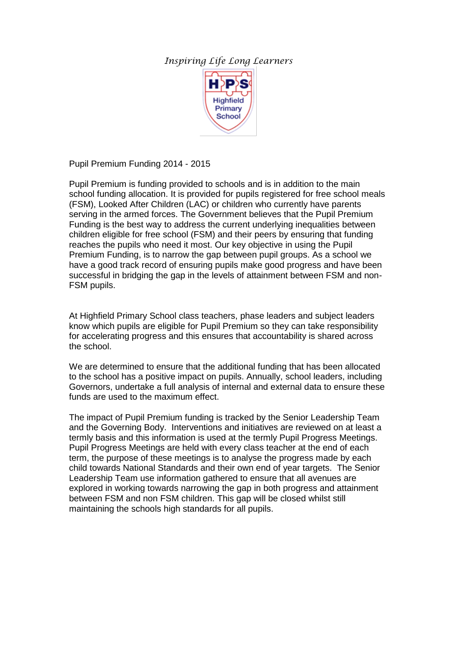## *Inspiring Life Long Learners*



Pupil Premium Funding 2014 - 2015

Pupil Premium is funding provided to schools and is in addition to the main school funding allocation. It is provided for pupils registered for free school meals (FSM), Looked After Children (LAC) or children who currently have parents serving in the armed forces. The Government believes that the Pupil Premium Funding is the best way to address the current underlying inequalities between children eligible for free school (FSM) and their peers by ensuring that funding reaches the pupils who need it most. Our key objective in using the Pupil Premium Funding, is to narrow the gap between pupil groups. As a school we have a good track record of ensuring pupils make good progress and have been successful in bridging the gap in the levels of attainment between FSM and non-FSM pupils.

At Highfield Primary School class teachers, phase leaders and subject leaders know which pupils are eligible for Pupil Premium so they can take responsibility for accelerating progress and this ensures that accountability is shared across the school.

We are determined to ensure that the additional funding that has been allocated to the school has a positive impact on pupils. Annually, school leaders, including Governors, undertake a full analysis of internal and external data to ensure these funds are used to the maximum effect.

The impact of Pupil Premium funding is tracked by the Senior Leadership Team and the Governing Body. Interventions and initiatives are reviewed on at least a termly basis and this information is used at the termly Pupil Progress Meetings. Pupil Progress Meetings are held with every class teacher at the end of each term, the purpose of these meetings is to analyse the progress made by each child towards National Standards and their own end of year targets. The Senior Leadership Team use information gathered to ensure that all avenues are explored in working towards narrowing the gap in both progress and attainment between FSM and non FSM children. This gap will be closed whilst still maintaining the schools high standards for all pupils.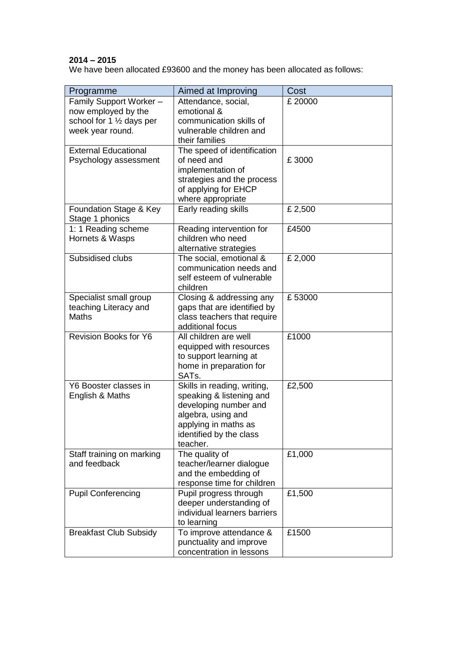## **2014 – 2015**

We have been allocated £93600 and the money has been allocated as follows:

| Programme                                 | Aimed at Improving                           | Cost    |
|-------------------------------------------|----------------------------------------------|---------|
| Family Support Worker -                   | Attendance, social,                          | £ 20000 |
| now employed by the                       | emotional &                                  |         |
| school for 1 1/2 days per                 | communication skills of                      |         |
| week year round.                          | vulnerable children and                      |         |
|                                           | their families                               |         |
| <b>External Educational</b>               | The speed of identification                  |         |
| Psychology assessment                     | of need and                                  | £3000   |
|                                           | implementation of                            |         |
|                                           | strategies and the process                   |         |
|                                           | of applying for EHCP                         |         |
|                                           | where appropriate                            |         |
| Foundation Stage & Key<br>Stage 1 phonics | Early reading skills                         | £ 2,500 |
| 1: 1 Reading scheme                       | Reading intervention for                     | £4500   |
| Hornets & Wasps                           | children who need                            |         |
|                                           | alternative strategies                       |         |
| Subsidised clubs                          | The social, emotional &                      | £ 2,000 |
|                                           | communication needs and                      |         |
|                                           | self esteem of vulnerable                    |         |
|                                           | children                                     |         |
| Specialist small group                    | Closing & addressing any                     | £53000  |
| teaching Literacy and                     | gaps that are identified by                  |         |
| <b>Maths</b>                              | class teachers that require                  |         |
|                                           | additional focus                             |         |
| <b>Revision Books for Y6</b>              | All children are well                        | £1000   |
|                                           | equipped with resources                      |         |
|                                           | to support learning at                       |         |
|                                           | home in preparation for<br>SAT <sub>s.</sub> |         |
| Y6 Booster classes in                     | Skills in reading, writing,                  | £2,500  |
| English & Maths                           | speaking & listening and                     |         |
|                                           | developing number and                        |         |
|                                           | algebra, using and                           |         |
|                                           | applying in maths as                         |         |
|                                           | identified by the class                      |         |
|                                           | teacher.                                     |         |
| Staff training on marking                 | The quality of                               | £1,000  |
| and feedback                              | teacher/learner dialogue                     |         |
|                                           | and the embedding of                         |         |
|                                           | response time for children                   |         |
| <b>Pupil Conferencing</b>                 | Pupil progress through                       | £1,500  |
|                                           | deeper understanding of                      |         |
|                                           | individual learners barriers                 |         |
|                                           | to learning                                  |         |
| <b>Breakfast Club Subsidy</b>             | To improve attendance &                      | £1500   |
|                                           | punctuality and improve                      |         |
|                                           | concentration in lessons                     |         |